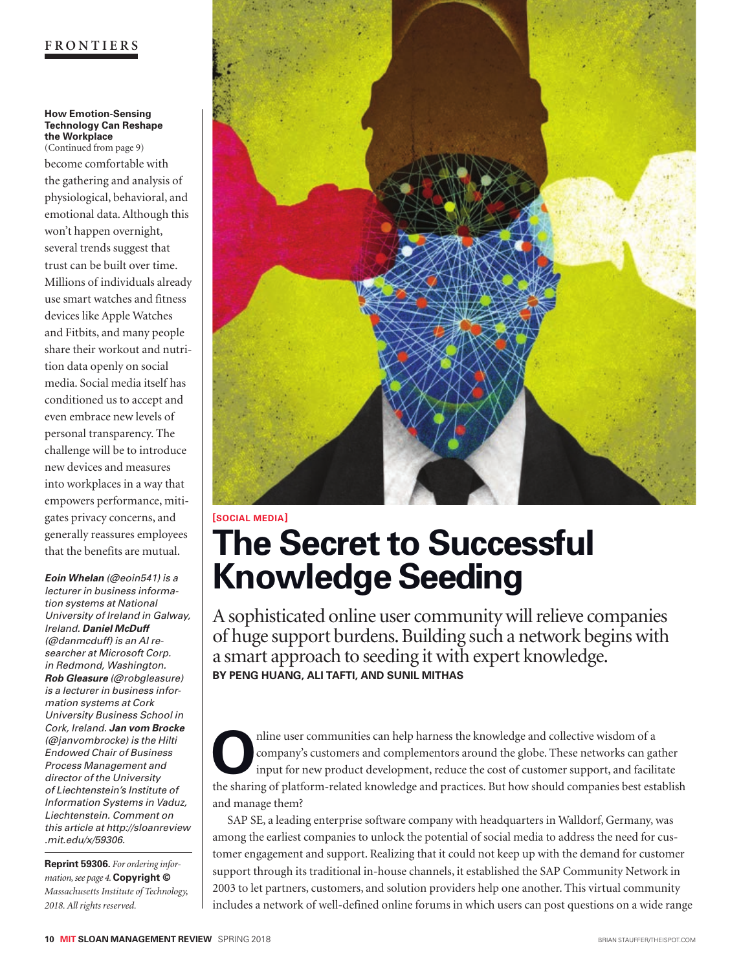#### **FRONTIERS**

#### **How Emotion-Sensing Technology Can Reshape the Workplace**  (Continued from page 9)

become comfortable with the gathering and analysis of physiological, behavioral, and emotional data. Although this won't happen overnight, several trends suggest that trust can be built over time. Millions of individuals already use smart watches and fitness devices like Apple Watches and Fitbits, and many people share their workout and nutrition data openly on social media. Social media itself has conditioned us to accept and even embrace new levels of personal transparency. The challenge will be to introduce new devices and measures into workplaces in a way that empowers performance, mitigates privacy concerns, and generally reassures employees that the benefits are mutual.

*Eoin Whelan (@eoin541) is a lecturer in business information systems at National University of Ireland in Galway, Ireland. Daniel McDuff (@danmcduff) is an AI researcher at Microsoft Corp. in Redmond, Washington. Rob Gleasure (@robgleasure) is a lecturer in business information systems at Cork University Business School in Cork, Ireland. Jan vom Brocke (@janvombrocke) is the Hilti Endowed Chair of Business Process Management and director of the University of Liechtenstein's Institute of Information Systems in Vaduz, Liechtenstein. Comment on this article at http://sloanreview .mit.edu/x/59306.*

**Reprint 59306.** *For ordering information, see page 4.* **Copyright ©** *Massachusetts Institute of Technology, 2018. All rights reserved.*



## **[SOCIAL MEDIA] The Secret to Successful Knowledge Seeding**

A sophisticated online user community will relieve companies of huge support burdens. Building such a network begins with a smart approach to seeding it with expert knowledge. **BY PENG HUANG, ALI TAFTI, AND SUNIL MITHAS**

nline user communities can help harness the knowledge and collective wisdom of a company's customers and complementors around the globe. These networks can ga input for new product development, reduce the cost of customer company's customers and complementors around the globe. These networks can gather input for new product development, reduce the cost of customer support, and facilitate the sharing of platform-related knowledge and practices. But how should companies best establish and manage them?

SAP SE, a leading enterprise software company with headquarters in Walldorf, Germany, was among the earliest companies to unlock the potential of social media to address the need for customer engagement and support. Realizing that it could not keep up with the demand for customer support through its traditional in-house channels, it established the SAP Community Network in 2003 to let partners, customers, and solution providers help one another. This virtual community includes a network of well-defined online forums in which users can post questions on a wide range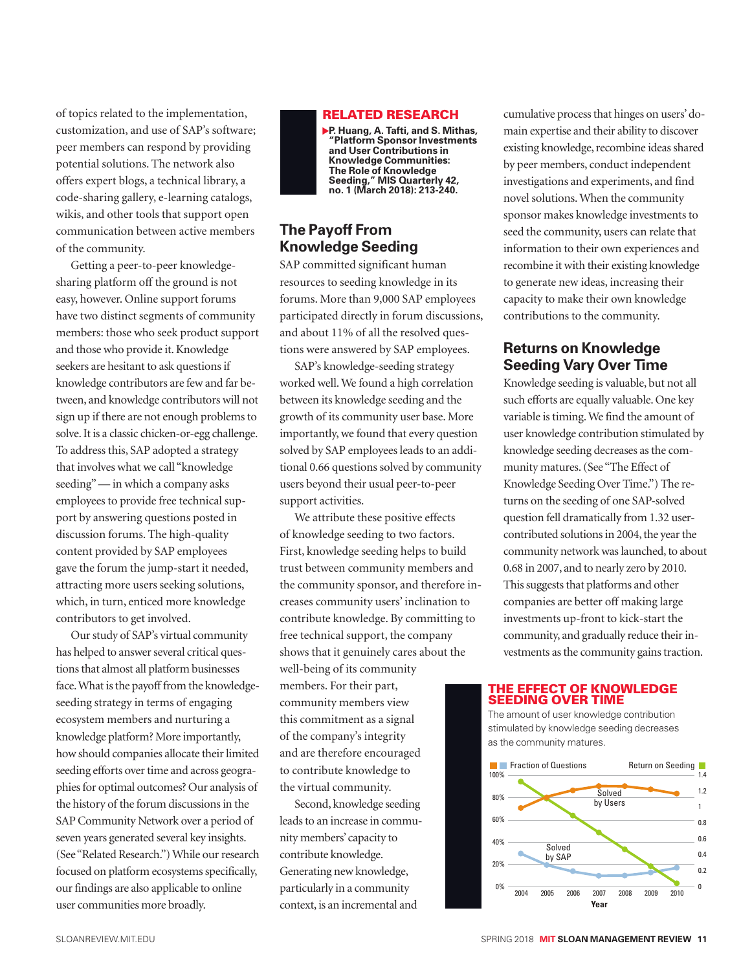of topics related to the implementation, customization, and use of SAP's software; peer members can respond by providing potential solutions. The network also offers expert blogs, a technical library, a code-sharing gallery, e-learning catalogs, wikis, and other tools that support open communication between active members of the community.

Getting a peer-to-peer knowledgesharing platform off the ground is not easy, however. Online support forums have two distinct segments of community members: those who seek product support and those who provide it. Knowledge seekers are hesitant to ask questions if knowledge contributors are few and far between, and knowledge contributors will not sign up if there are not enough problems to solve. It is a classic chicken-or-egg challenge. To address this, SAP adopted a strategy that involves what we call "knowledge seeding" — in which a company asks employees to provide free technical support by answering questions posted in discussion forums. The high-quality content provided by SAP employees gave the forum the jump-start it needed, attracting more users seeking solutions, which, in turn, enticed more knowledge contributors to get involved.

Our study of SAP's virtual community has helped to answer several critical questions that almost all platform businesses face. What is the payoff from the knowledgeseeding strategy in terms of engaging ecosystem members and nurturing a knowledge platform? More importantly, how should companies allocate their limited seeding efforts over time and across geographies for optimal outcomes? Our analysis of the history of the forum discussions in the SAP Community Network over a period of seven years generated several key insights. (See "Related Research.") While our research focused on platform ecosystems specifically, our findings are also applicable to online user communities more broadly.



#### **The Payoff From Knowledge Seeding**

SAP committed significant human resources to seeding knowledge in its forums. More than 9,000 SAP employees participated directly in forum discussions, and about 11% of all the resolved questions were answered by SAP employees.

SAP's knowledge-seeding strategy worked well. We found a high correlation between its knowledge seeding and the growth of its community user base. More importantly, we found that every question solved by SAP employees leads to an additional 0.66 questions solved by community users beyond their usual peer-to-peer support activities.

We attribute these positive effects of knowledge seeding to two factors. First, knowledge seeding helps to build trust between community members and the community sponsor, and therefore increases community users' inclination to contribute knowledge. By committing to free technical support, the company shows that it genuinely cares about the well-being of its community

members. For their part, community members view this commitment as a signal of the company's integrity and are therefore encouraged to contribute knowledge to the virtual community.

Second, knowledge seeding leads to an increase in community members' capacity to contribute knowledge. Generating new knowledge, particularly in a community context, is an incremental and

cumulative process that hinges on users' domain expertise and their ability to discover existing knowledge, recombine ideas shared by peer members, conduct independent investigations and experiments, and find novel solutions. When the community sponsor makes knowledge investments to seed the community, users can relate that information to their own experiences and recombine it with their existing knowledge to generate new ideas, increasing their capacity to make their own knowledge contributions to the community.

### **Returns on Knowledge Seeding Vary Over Time**

Knowledge seeding is valuable, but not all such efforts are equally valuable. One key variable is timing. We find the amount of user knowledge contribution stimulated by knowledge seeding decreases as the community matures. (See "The Effect of Knowledge Seeding Over Time.") The returns on the seeding of one SAP-solved question fell dramatically from 1.32 usercontributed solutions in 2004, the year the community network was launched, to about 0.68 in 2007, and to nearly zero by 2010. This suggests that platforms and other companies are better off making large investments up-front to kick-start the community, and gradually reduce their investments as the community gains traction.

#### THE EFFECT OF KNOWLEDGE SEEDING OVER TIME

The amount of user knowledge contribution stimulated by knowledge seeding decreases as the community matures.

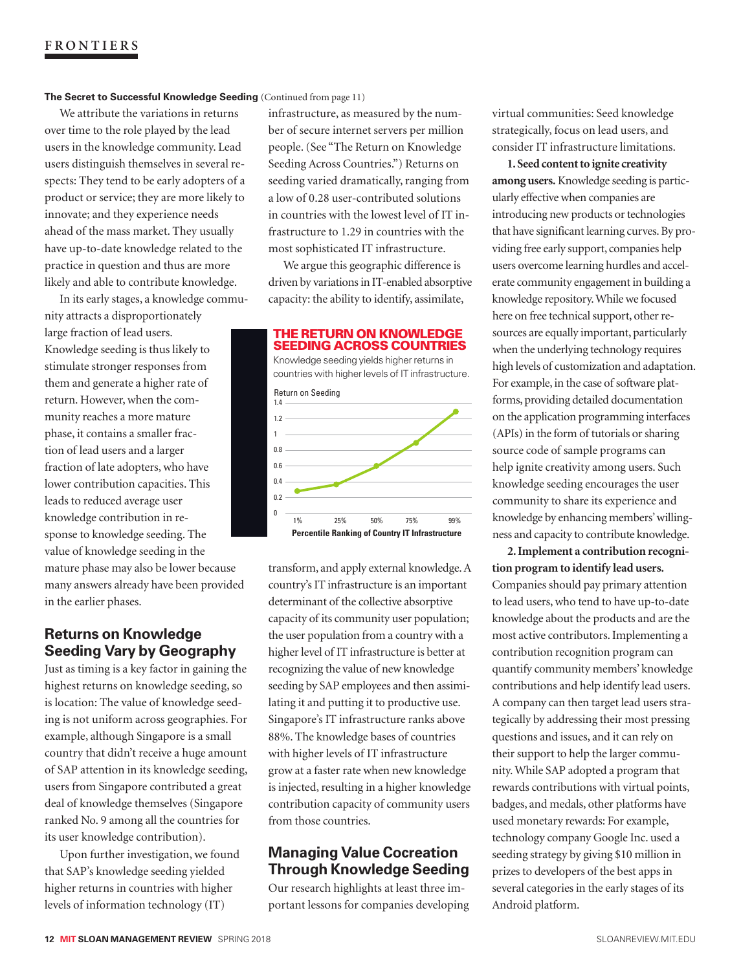#### **The Secret to Successful Knowledge Seeding** (Continued from page 11)

We attribute the variations in returns over time to the role played by the lead users in the knowledge community. Lead users distinguish themselves in several respects: They tend to be early adopters of a product or service; they are more likely to innovate; and they experience needs ahead of the mass market. They usually have up-to-date knowledge related to the practice in question and thus are more likely and able to contribute knowledge.

In its early stages, a knowledge community attracts a disproportionately large fraction of lead users. Knowledge seeding is thus likely to stimulate stronger responses from them and generate a higher rate of return. However, when the community reaches a more mature phase, it contains a smaller fraction of lead users and a larger fraction of late adopters, who have lower contribution capacities. This leads to reduced average user knowledge contribution in response to knowledge seeding. The value of knowledge seeding in the mature phase may also be lower because many answers already have been provided in the earlier phases.

#### **Returns on Knowledge Seeding Vary by Geography**

Just as timing is a key factor in gaining the highest returns on knowledge seeding, so is location: The value of knowledge seeding is not uniform across geographies. For example, although Singapore is a small country that didn't receive a huge amount of SAP attention in its knowledge seeding, users from Singapore contributed a great deal of knowledge themselves (Singapore ranked No. 9 among all the countries for its user knowledge contribution).

Upon further investigation, we found that SAP's knowledge seeding yielded higher returns in countries with higher levels of information technology (IT)

infrastructure, as measured by the number of secure internet servers per million people. (See "The Return on Knowledge Seeding Across Countries.") Returns on seeding varied dramatically, ranging from a low of 0.28 user-contributed solutions in countries with the lowest level of IT infrastructure to 1.29 in countries with the most sophisticated IT infrastructure.

We argue this geographic difference is driven by variations in IT-enabled absorptive capacity: the ability to identify, assimilate,



transform, and apply external knowledge. A country's IT infrastructure is an important determinant of the collective absorptive capacity of its community user population; the user population from a country with a higher level of IT infrastructure is better at recognizing the value of new knowledge seeding by SAP employees and then assimilating it and putting it to productive use. Singapore's IT infrastructure ranks above 88%. The knowledge bases of countries with higher levels of IT infrastructure grow at a faster rate when new knowledge is injected, resulting in a higher knowledge contribution capacity of community users from those countries.

#### **Managing Value Cocreation Through Knowledge Seeding**

Our research highlights at least three important lessons for companies developing virtual communities: Seed knowledge strategically, focus on lead users, and consider IT infrastructure limitations.

**1. Seed content to ignite creativity among users.** Knowledge seeding is particularly effective when companies are introducing new products or technologies that have significant learning curves. By providing free early support, companies help users overcome learning hurdles and accelerate community engagement in building a knowledge repository. While we focused here on free technical support, other resources are equally important, particularly when the underlying technology requires high levels of customization and adaptation. For example, in the case of software platforms, providing detailed documentation on the application programming interfaces (APIs) in the form of tutorials or sharing source code of sample programs can help ignite creativity among users. Such knowledge seeding encourages the user community to share its experience and knowledge by enhancing members' willingness and capacity to contribute knowledge.

**2. Implement a contribution recognition program to identify lead users.**  Companies should pay primary attention to lead users, who tend to have up-to-date knowledge about the products and are the most active contributors. Implementing a contribution recognition program can quantify community members' knowledge contributions and help identify lead users. A company can then target lead users strategically by addressing their most pressing questions and issues, and it can rely on their support to help the larger community. While SAP adopted a program that rewards contributions with virtual points, badges, and medals, other platforms have used monetary rewards: For example, technology company Google Inc. used a seeding strategy by giving \$10 million in prizes to developers of the best apps in several categories in the early stages of its Android platform.